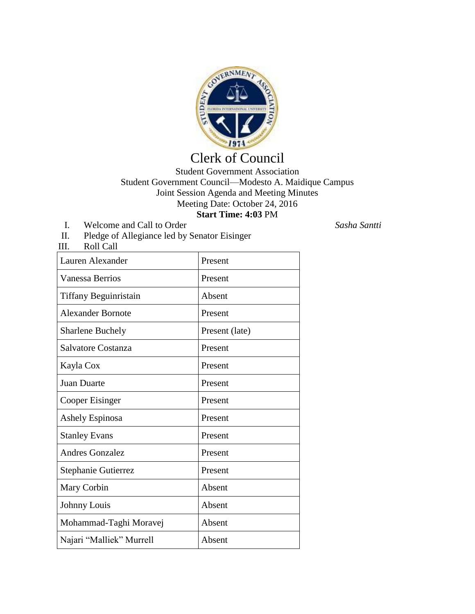

## Clerk of Council

## Student Government Association Student Government Council—Modesto A. Maidique Campus Joint Session Agenda and Meeting Minutes Meeting Date: October 24, 2016 **Start Time: 4:03** PM

- I. Welcome and Call to Order *Sasha Santti*
- II. Pledge of Allegiance led by Senator Eisinger
- III. Roll Call

| Lauren Alexander         | Present        |
|--------------------------|----------------|
| Vanessa Berrios          | Present        |
| Tiffany Beguinristain    | Absent         |
| <b>Alexander Bornote</b> | Present        |
| <b>Sharlene Buchely</b>  | Present (late) |
| Salvatore Costanza       | Present        |
| Kayla Cox                | Present        |
| <b>Juan Duarte</b>       | Present        |
| Cooper Eisinger          | Present        |
| <b>Ashely Espinosa</b>   | Present        |
| <b>Stanley Evans</b>     | Present        |
| <b>Andres Gonzalez</b>   | Present        |
| Stephanie Gutierrez      | Present        |
| Mary Corbin              | Absent         |
| Johnny Louis             | Absent         |
| Mohammad-Taghi Moravej   | Absent         |
| Najari "Malliek" Murrell | Absent         |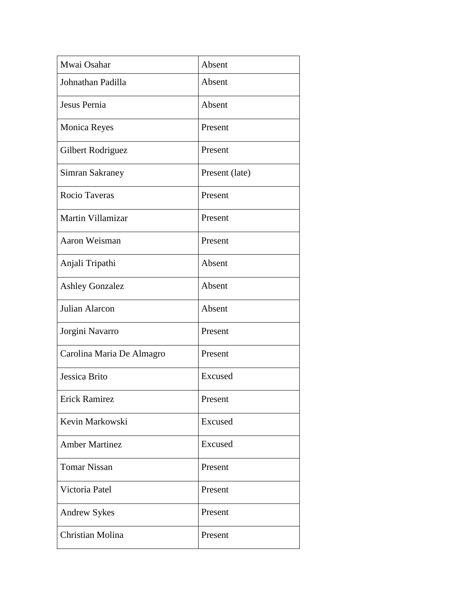| Mwai Osahar               | Absent         |
|---------------------------|----------------|
| Johnathan Padilla         | Absent         |
| Jesus Pernia              | Absent         |
| <b>Monica Reyes</b>       | Present        |
| Gilbert Rodriguez         | Present        |
| Simran Sakraney           | Present (late) |
| Rocio Taveras             | Present        |
| Martin Villamizar         | Present        |
| Aaron Weisman             | Present        |
| Anjali Tripathi           | Absent         |
| <b>Ashley Gonzalez</b>    | Absent         |
| Julian Alarcon            | Absent         |
| Jorgini Navarro           | Present        |
| Carolina Maria De Almagro | Present        |
| Jessica Brito             | Excused        |
| <b>Erick Ramirez</b>      | Present        |
| Kevin Markowski           | Excused        |
| <b>Amber Martinez</b>     | Excused        |
| <b>Tomar Nissan</b>       | Present        |
| Victoria Patel            | Present        |
| <b>Andrew Sykes</b>       | Present        |
| Christian Molina          | Present        |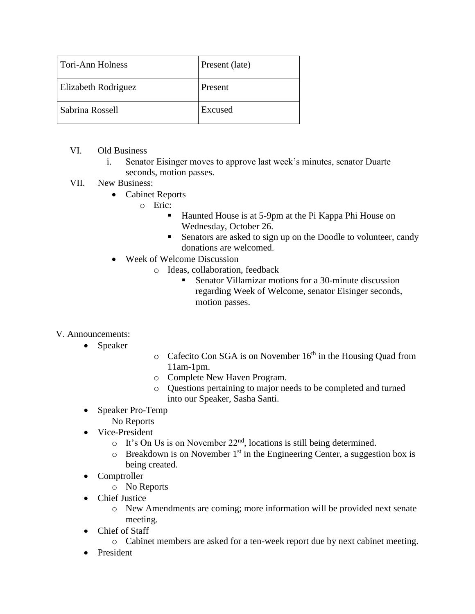| Tori-Ann Holness           | Present (late) |
|----------------------------|----------------|
| <b>Elizabeth Rodriguez</b> | Present        |
| Sabrina Rossell            | Excused        |

- VI. Old Business
	- i. Senator Eisinger moves to approve last week's minutes, senator Duarte seconds, motion passes.
- VII. New Business:
	- Cabinet Reports
		- o Eric:
			- Haunted House is at 5-9pm at the Pi Kappa Phi House on Wednesday, October 26.
			- Senators are asked to sign up on the Doodle to volunteer, candy donations are welcomed.
	- Week of Welcome Discussion
		- o Ideas, collaboration, feedback
			- Senator Villamizar motions for a 30-minute discussion regarding Week of Welcome, senator Eisinger seconds, motion passes.

## V. Announcements:

- Speaker
- $\circ$  Cafecito Con SGA is on November 16<sup>th</sup> in the Housing Quad from 11am-1pm.
- o Complete New Haven Program.
- o Questions pertaining to major needs to be completed and turned into our Speaker, Sasha Santi.
- Speaker Pro-Temp
	- No Reports
- Vice-President
	- $\circ$  It's On Us is on November 22<sup>nd</sup>, locations is still being determined.
	- $\circ$  Breakdown is on November 1<sup>st</sup> in the Engineering Center, a suggestion box is being created.
- Comptroller
	- o No Reports
- Chief Justice
	- o New Amendments are coming; more information will be provided next senate meeting.
- Chief of Staff
	- o Cabinet members are asked for a ten-week report due by next cabinet meeting.
- President